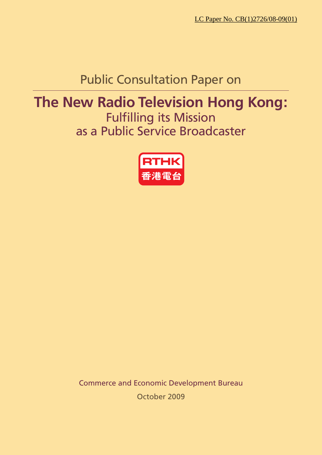# Public Consultation Paper on

# **The New Radio Television Hong Kong:**

Fulfilling its Mission as a Public Service Broadcaster



Commerce and Economic Development Bureau October 2009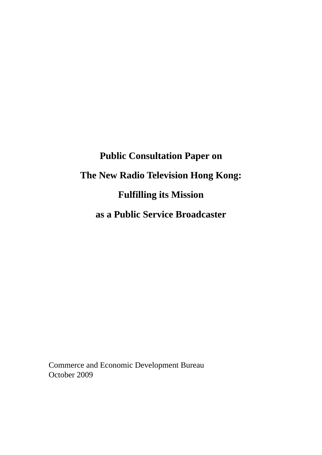# **Public Consultation Paper on The New Radio Television Hong Kong: Fulfilling its Mission as a Public Service Broadcaster**

Commerce and Economic Development Bureau October 2009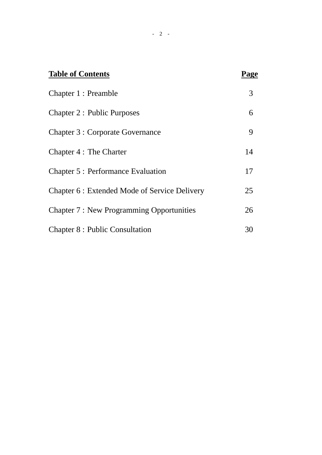| <b>Table of Contents</b>                        | Page |
|-------------------------------------------------|------|
| Chapter 1 : Preamble                            | 3    |
| <b>Chapter 2: Public Purposes</b>               | 6    |
| <b>Chapter 3 : Corporate Governance</b>         | 9    |
| Chapter 4 : The Charter                         | 14   |
| <b>Chapter 5: Performance Evaluation</b>        | 17   |
| Chapter 6 : Extended Mode of Service Delivery   | 25   |
| <b>Chapter 7: New Programming Opportunities</b> | 26   |
| <b>Chapter 8: Public Consultation</b>           | 30   |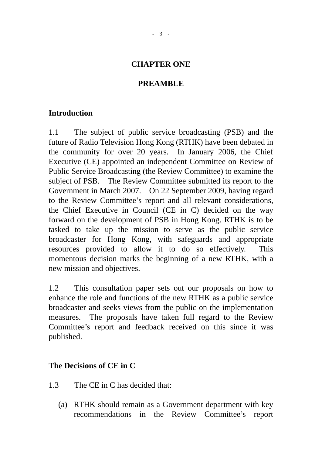#### **CHAPTER ONE**

#### **PREAMBLE**

#### **Introduction**

1.1 The subject of public service broadcasting (PSB) and the future of Radio Television Hong Kong (RTHK) have been debated in the community for over 20 years. In January 2006, the Chief Executive (CE) appointed an independent Committee on Review of Public Service Broadcasting (the Review Committee) to examine the subject of PSB. The Review Committee submitted its report to the Government in March 2007. On 22 September 2009, having regard to the Review Committee's report and all relevant considerations, the Chief Executive in Council (CE in C) decided on the way forward on the development of PSB in Hong Kong. RTHK is to be tasked to take up the mission to serve as the public service broadcaster for Hong Kong, with safeguards and appropriate resources provided to allow it to do so effectively. This momentous decision marks the beginning of a new RTHK, with a new mission and objectives.

1.2 This consultation paper sets out our proposals on how to enhance the role and functions of the new RTHK as a public service broadcaster and seeks views from the public on the implementation measures. The proposals have taken full regard to the Review Committee's report and feedback received on this since it was published.

#### **The Decisions of CE in C**

- 1.3 The CE in C has decided that:
	- (a) RTHK should remain as a Government department with key recommendations in the Review Committee's report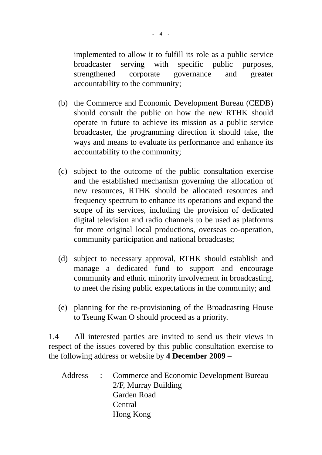implemented to allow it to fulfill its role as a public service broadcaster serving with specific public purposes, strengthened corporate governance and greater accountability to the community;

- (b) the Commerce and Economic Development Bureau (CEDB) should consult the public on how the new RTHK should operate in future to achieve its mission as a public service broadcaster, the programming direction it should take, the ways and means to evaluate its performance and enhance its accountability to the community;
- (c) subject to the outcome of the public consultation exercise and the established mechanism governing the allocation of new resources, RTHK should be allocated resources and frequency spectrum to enhance its operations and expand the scope of its services, including the provision of dedicated digital television and radio channels to be used as platforms for more original local productions, overseas co-operation, community participation and national broadcasts;
- (d) subject to necessary approval, RTHK should establish and manage a dedicated fund to support and encourage community and ethnic minority involvement in broadcasting, to meet the rising public expectations in the community; and
- (e) planning for the re-provisioning of the Broadcasting House to Tseung Kwan O should proceed as a priority.

1.4 All interested parties are invited to send us their views in respect of the issues covered by this public consultation exercise to the following address or website by **4 December 2009** –

Address : Commerce and Economic Development Bureau 2/F, Murray Building Garden Road **Central** Hong Kong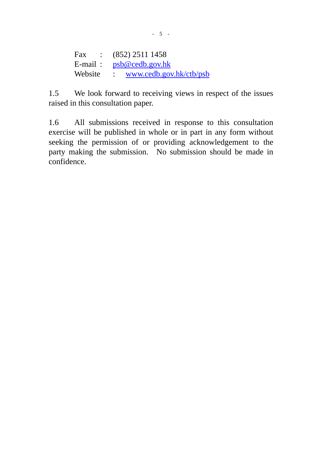Fax : (852) 2511 1458 E-mail : [psb@cedb.gov.hk](mailto:psb@cedb.gov.hk) Website : [www.cedb.gov.hk/ctb/psb](http://www.cedb.gov.hk/ctb/psb)

1.5 We look forward to receiving views in respect of the issues raised in this consultation paper.

1.6 All submissions received in response to this consultation exercise will be published in whole or in part in any form without seeking the permission of or providing acknowledgement to the party making the submission. No submission should be made in confidence.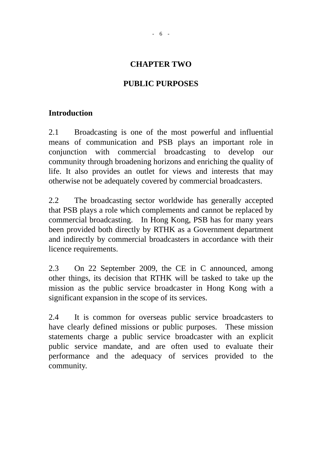#### **CHAPTER TWO**

#### **PUBLIC PURPOSES**

#### **Introduction**

2.1 Broadcasting is one of the most powerful and influential means of communication and PSB plays an important role in conjunction with commercial broadcasting to develop our community through broadening horizons and enriching the quality of life. It also provides an outlet for views and interests that may otherwise not be adequately covered by commercial broadcasters.

2.2 The broadcasting sector worldwide has generally accepted that PSB plays a role which complements and cannot be replaced by commercial broadcasting. In Hong Kong, PSB has for many years been provided both directly by RTHK as a Government department and indirectly by commercial broadcasters in accordance with their licence requirements.

2.3 On 22 September 2009, the CE in C announced, among other things, its decision that RTHK will be tasked to take up the mission as the public service broadcaster in Hong Kong with a significant expansion in the scope of its services.

2.4 It is common for overseas public service broadcasters to have clearly defined missions or public purposes. These mission statements charge a public service broadcaster with an explicit public service mandate, and are often used to evaluate their performance and the adequacy of services provided to the community.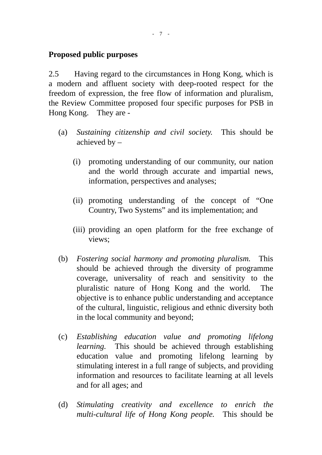#### **Proposed public purposes**

2.5 Having regard to the circumstances in Hong Kong, which is a modern and affluent society with deep-rooted respect for the freedom of expression, the free flow of information and pluralism, the Review Committee proposed four specific purposes for PSB in Hong Kong. They are -

- (a) *Sustaining citizenship and civil society.* This should be achieved by –
	- (i) promoting understanding of our community, our nation and the world through accurate and impartial news, information, perspectives and analyses;
	- (ii) promoting understanding of the concept of "One Country, Two Systems" and its implementation; and
	- (iii) providing an open platform for the free exchange of views;
- (b) *Fostering social harmony and promoting pluralism.* This should be achieved through the diversity of programme coverage, universality of reach and sensitivity to the pluralistic nature of Hong Kong and the world. The objective is to enhance public understanding and acceptance of the cultural, linguistic, religious and ethnic diversity both in the local community and beyond;
- (c) *Establishing education value and promoting lifelong learning.* This should be achieved through establishing education value and promoting lifelong learning by stimulating interest in a full range of subjects, and providing information and resources to facilitate learning at all levels and for all ages; and
- (d) *Stimulating creativity and excellence to enrich the multi-cultural life of Hong Kong people.* This should be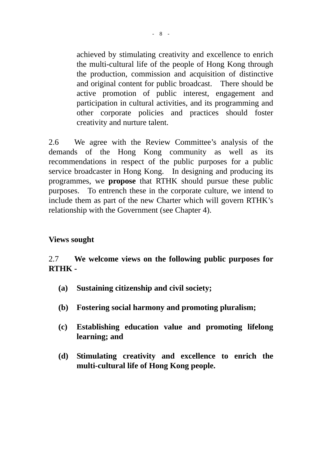achieved by stimulating creativity and excellence to enrich the multi-cultural life of the people of Hong Kong through the production, commission and acquisition of distinctive and original content for public broadcast. There should be active promotion of public interest, engagement and participation in cultural activities, and its programming and other corporate policies and practices should foster creativity and nurture talent.

2.6 We agree with the Review Committee's analysis of the demands of the Hong Kong community as well as its recommendations in respect of the public purposes for a public service broadcaster in Hong Kong. In designing and producing its programmes, we **propose** that RTHK should pursue these public purposes. To entrench these in the corporate culture, we intend to include them as part of the new Charter which will govern RTHK's relationship with the Government (see Chapter 4).

#### **Views sought**

## 2.7 **We welcome views on the following public purposes for RTHK -**

- **(a) Sustaining citizenship and civil society;**
- **(b) Fostering social harmony and promoting pluralism;**
- **(c) Establishing education value and promoting lifelong learning; and**
- **(d) Stimulating creativity and excellence to enrich the multi-cultural life of Hong Kong people.**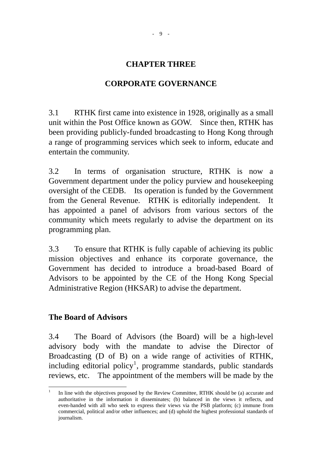#### **CHAPTER THREE**

#### **CORPORATE GOVERNANCE**

3.1 RTHK first came into existence in 1928, originally as a small unit within the Post Office known as GOW. Since then, RTHK has been providing publicly-funded broadcasting to Hong Kong through a range of programming services which seek to inform, educate and entertain the community.

3.2 In terms of organisation structure, RTHK is now a Government department under the policy purview and housekeeping oversight of the CEDB. Its operation is funded by the Government from the General Revenue. RTHK is editorially independent. It has appointed a panel of advisors from various sectors of the community which meets regularly to advise the department on its programming plan.

3.3 To ensure that RTHK is fully capable of achieving its public mission objectives and enhance its corporate governance, the Government has decided to introduce a broad-based Board of Advisors to be appointed by the CE of the Hong Kong Special Administrative Region (HKSAR) to advise the department.

#### **The Board of Advisors**

3.4 The Board of Advisors (the Board) will be a high-level advisory body with the mandate to advise the Director of Broadcasting (D of B) on a wide range of activities of RTHK, including editorial policy<sup>[1](#page-9-0)</sup>, programme standards, public standards reviews, etc. The appointment of the members will be made by the

<span id="page-9-0"></span> $\frac{1}{1}$  In line with the objectives proposed by the Review Committee, RTHK should be (a) accurate and authoritative in the information it disseminates; (b) balanced in the views it reflects, and even-handed with all who seek to express their views via the PSB platform; (c) immune from commercial, political and/or other influences; and (d) uphold the highest professional standards of journalism.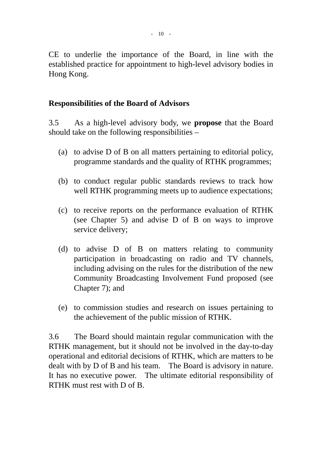CE to underlie the importance of the Board, in line with the established practice for appointment to high-level advisory bodies in Hong Kong.

#### **Responsibilities of the Board of Advisors**

3.5 As a high-level advisory body, we **propose** that the Board should take on the following responsibilities –

- (a) to advise D of B on all matters pertaining to editorial policy, programme standards and the quality of RTHK programmes;
- (b) to conduct regular public standards reviews to track how well RTHK programming meets up to audience expectations;
- (c) to receive reports on the performance evaluation of RTHK (see Chapter 5) and advise D of B on ways to improve service delivery;
- (d) to advise D of B on matters relating to community participation in broadcasting on radio and TV channels, including advising on the rules for the distribution of the new Community Broadcasting Involvement Fund proposed (see Chapter 7); and
- (e) to commission studies and research on issues pertaining to the achievement of the public mission of RTHK.

3.6 The Board should maintain regular communication with the RTHK management, but it should not be involved in the day-to-day operational and editorial decisions of RTHK, which are matters to be dealt with by D of B and his team. The Board is advisory in nature. It has no executive power. The ultimate editorial responsibility of RTHK must rest with D of B.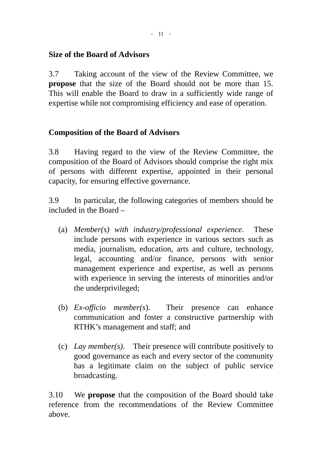#### **Size of the Board of Advisors**

3.7 Taking account of the view of the Review Committee, we **propose** that the size of the Board should not be more than 15. This will enable the Board to draw in a sufficiently wide range of expertise while not compromising efficiency and ease of operation.

## **Composition of the Board of Advisors**

3.8 Having regard to the view of the Review Committee, the composition of the Board of Advisors should comprise the right mix of persons with different expertise, appointed in their personal capacity, for ensuring effective governance.

3.9 In particular, the following categories of members should be included in the Board –

- (a) *Member(s) with industry/professional experience*. These include persons with experience in various sectors such as media, journalism, education, arts and culture, technology, legal, accounting and/or finance, persons with senior management experience and expertise, as well as persons with experience in serving the interests of minorities and/or the underprivileged;
- (b) *Ex-officio member(s*). Their presence can enhance communication and foster a constructive partnership with RTHK's management and staff; and
- (c) *Lay member(s)*. Their presence will contribute positively to good governance as each and every sector of the community has a legitimate claim on the subject of public service broadcasting.

3.10 We **propose** that the composition of the Board should take reference from the recommendations of the Review Committee above.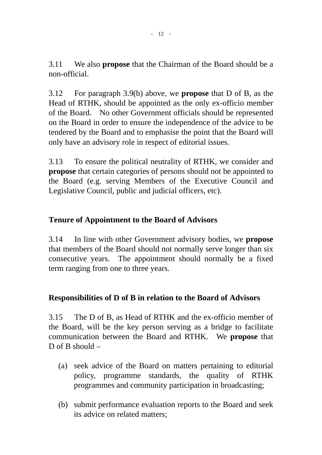3.11 We also **propose** that the Chairman of the Board should be a non-official.

3.12 For paragraph 3.9(b) above, we **propose** that D of B, as the Head of RTHK, should be appointed as the only ex-officio member of the Board. No other Government officials should be represented on the Board in order to ensure the independence of the advice to be tendered by the Board and to emphasise the point that the Board will only have an advisory role in respect of editorial issues.

3.13 To ensure the political neutrality of RTHK, we consider and **propose** that certain categories of persons should not be appointed to the Board (e.g. serving Members of the Executive Council and Legislative Council, public and judicial officers, etc).

## **Tenure of Appointment to the Board of Advisors**

3.14 In line with other Government advisory bodies, we **propose** that members of the Board should not normally serve longer than six consecutive years. The appointment should normally be a fixed term ranging from one to three years.

#### **Responsibilities of D of B in relation to the Board of Advisors**

3.15 The D of B, as Head of RTHK and the ex-officio member of the Board, will be the key person serving as a bridge to facilitate communication between the Board and RTHK. We **propose** that D of B should  $-$ 

- (a) seek advice of the Board on matters pertaining to editorial policy, programme standards, the quality of RTHK programmes and community participation in broadcasting;
- (b) submit performance evaluation reports to the Board and seek its advice on related matters;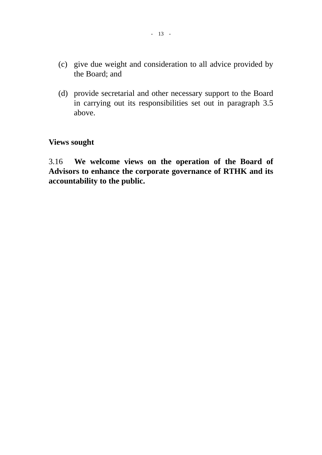- (c) give due weight and consideration to all advice provided by the Board; and
- (d) provide secretarial and other necessary support to the Board in carrying out its responsibilities set out in paragraph 3.5 above.

# **Views sought**

3.16 **We welcome views on the operation of the Board of Advisors to enhance the corporate governance of RTHK and its accountability to the public.**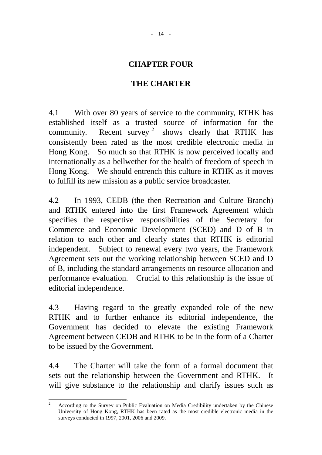#### **CHAPTER FOUR**

#### **THE CHARTER**

4.1 With over 80 years of service to the community, RTHK has established itself as a trusted source of information for the community. Recent survey<sup>[2](#page-14-0)</sup> shows clearly that RTHK has consistently been rated as the most credible electronic media in Hong Kong. So much so that RTHK is now perceived locally and internationally as a bellwether for the health of freedom of speech in Hong Kong. We should entrench this culture in RTHK as it moves to fulfill its new mission as a public service broadcaster.

4.2 In 1993, CEDB (the then Recreation and Culture Branch) and RTHK entered into the first Framework Agreement which specifies the respective responsibilities of the Secretary for Commerce and Economic Development (SCED) and D of B in relation to each other and clearly states that RTHK is editorial independent. Subject to renewal every two years, the Framework Agreement sets out the working relationship between SCED and D of B, including the standard arrangements on resource allocation and performance evaluation. Crucial to this relationship is the issue of editorial independence.

4.3 Having regard to the greatly expanded role of the new RTHK and to further enhance its editorial independence, the Government has decided to elevate the existing Framework Agreement between CEDB and RTHK to be in the form of a Charter to be issued by the Government.

4.4 The Charter will take the form of a formal document that sets out the relationship between the Government and RTHK. It will give substance to the relationship and clarify issues such as

<span id="page-14-0"></span> $\frac{1}{2}$  According to the Survey on Public Evaluation on Media Credibility undertaken by the Chinese University of Hong Kong, RTHK has been rated as the most credible electronic media in the surveys conducted in 1997, 2001, 2006 and 2009.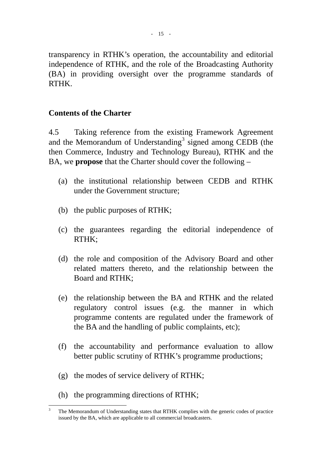transparency in RTHK's operation, the accountability and editorial independence of RTHK, and the role of the Broadcasting Authority (BA) in providing oversight over the programme standards of RTHK.

#### **Contents of the Charter**

4.5 Taking reference from the existing Framework Agreement and the Memorandum of Understanding<sup>[3](#page-15-0)</sup> signed among CEDB (the then Commerce, Industry and Technology Bureau), RTHK and the BA, we **propose** that the Charter should cover the following –

- (a) the institutional relationship between CEDB and RTHK under the Government structure;
- (b) the public purposes of RTHK;
- (c) the guarantees regarding the editorial independence of RTHK;
- (d) the role and composition of the Advisory Board and other related matters thereto, and the relationship between the Board and RTHK;
- (e) the relationship between the BA and RTHK and the related regulatory control issues (e.g. the manner in which programme contents are regulated under the framework of the BA and the handling of public complaints, etc);
- (f) the accountability and performance evaluation to allow better public scrutiny of RTHK's programme productions;
- (g) the modes of service delivery of RTHK;
- (h) the programming directions of RTHK;

<span id="page-15-0"></span> $\frac{1}{3}$  The Memorandum of Understanding states that RTHK complies with the generic codes of practice issued by the BA, which are applicable to all commercial broadcasters.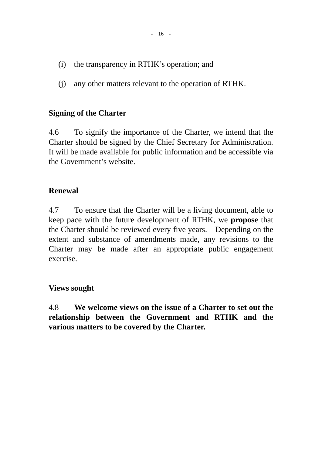- (i) the transparency in RTHK's operation; and
- (j) any other matters relevant to the operation of RTHK.

#### **Signing of the Charter**

4.6 To signify the importance of the Charter, we intend that the Charter should be signed by the Chief Secretary for Administration. It will be made available for public information and be accessible via the Government's website.

#### **Renewal**

4.7 To ensure that the Charter will be a living document, able to keep pace with the future development of RTHK, we **propose** that the Charter should be reviewed every five years. Depending on the extent and substance of amendments made, any revisions to the Charter may be made after an appropriate public engagement exercise.

#### **Views sought**

4.8 **We welcome views on the issue of a Charter to set out the relationship between the Government and RTHK and the various matters to be covered by the Charter.**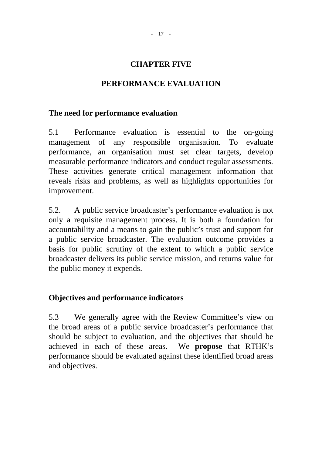#### **CHAPTER FIVE**

#### **PERFORMANCE EVALUATION**

#### **The need for performance evaluation**

5.1 Performance evaluation is essential to the on-going management of any responsible organisation. To evaluate performance, an organisation must set clear targets, develop measurable performance indicators and conduct regular assessments. These activities generate critical management information that reveals risks and problems, as well as highlights opportunities for improvement.

5.2. A public service broadcaster's performance evaluation is not only a requisite management process. It is both a foundation for accountability and a means to gain the public's trust and support for a public service broadcaster. The evaluation outcome provides a basis for public scrutiny of the extent to which a public service broadcaster delivers its public service mission, and returns value for the public money it expends.

#### **Objectives and performance indicators**

5.3 We generally agree with the Review Committee's view on the broad areas of a public service broadcaster's performance that should be subject to evaluation, and the objectives that should be achieved in each of these areas. We **propose** that RTHK's performance should be evaluated against these identified broad areas and objectives.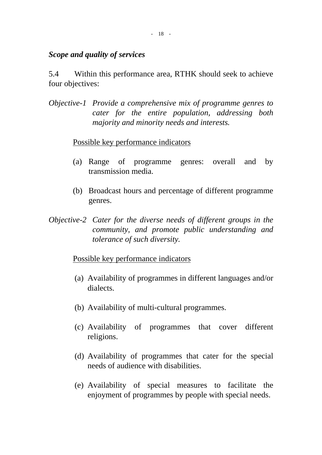#### *Scope and quality of services*

5.4 Within this performance area, RTHK should seek to achieve four objectives:

*Objective-1 Provide a comprehensive mix of programme genres to cater for the entire population, addressing both majority and minority needs and interests.*

#### Possible key performance indicators

- (a) Range of programme genres: overall and by transmission media.
- (b) Broadcast hours and percentage of different programme genres.
- *Objective-2 Cater for the diverse needs of different groups in the community, and promote public understanding and tolerance of such diversity.*

#### Possible key performance indicators

- (a) Availability of programmes in different languages and/or dialects.
- (b) Availability of multi-cultural programmes.
- (c) Availability of programmes that cover different religions.
- (d) Availability of programmes that cater for the special needs of audience with disabilities.
- (e) Availability of special measures to facilitate the enjoyment of programmes by people with special needs.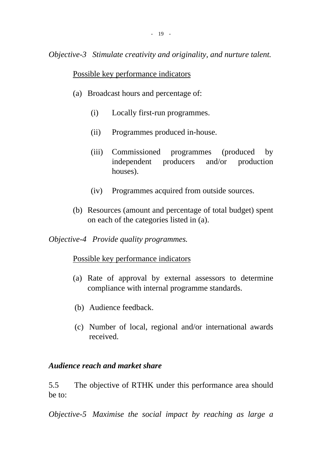*Objective-3 Stimulate creativity and originality, and nurture talent.* 

#### Possible key performance indicators

- (a) Broadcast hours and percentage of:
	- (i) Locally first-run programmes.
	- (ii) Programmes produced in-house.
	- (iii) Commissioned programmes (produced by independent producers and/or production houses).
	- (iv) Programmes acquired from outside sources.
- (b) Resources (amount and percentage of total budget) spent on each of the categories listed in (a).

*Objective-4 Provide quality programmes.* 

#### Possible key performance indicators

- (a) Rate of approval by external assessors to determine compliance with internal programme standards.
- (b) Audience feedback.
- (c) Number of local, regional and/or international awards received.

# *Audience reach and market share*

5.5 The objective of RTHK under this performance area should be to:

*Objective-5 Maximise the social impact by reaching as large a*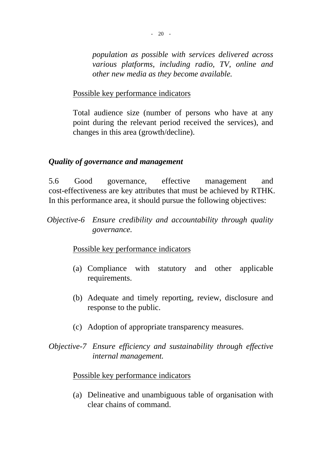*population as possible with services delivered across various platforms, including radio, TV, online and other new media as they become available.* 

Possible key performance indicators

Total audience size (number of persons who have at any point during the relevant period received the services), and changes in this area (growth/decline).

#### *Quality of governance and management*

5.6 Good governance, effective management and cost-effectiveness are key attributes that must be achieved by RTHK. In this performance area, it should pursue the following objectives:

*Objective-6 Ensure credibility and accountability through quality governance.* 

#### Possible key performance indicators

- (a) Compliance with statutory and other applicable requirements.
- (b) Adequate and timely reporting, review, disclosure and response to the public.
- (c) Adoption of appropriate transparency measures.
- *Objective-7 Ensure efficiency and sustainability through effective internal management.*

#### Possible key performance indicators

(a) Delineative and unambiguous table of organisation with clear chains of command.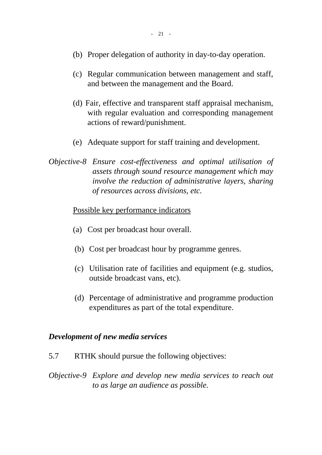- (b) Proper delegation of authority in day-to-day operation.
- (c) Regular communication between management and staff, and between the management and the Board.
- (d) Fair, effective and transparent staff appraisal mechanism, with regular evaluation and corresponding management actions of reward/punishment.
- (e) Adequate support for staff training and development.
- *Objective-8 Ensure cost-effectiveness and optimal utilisation of assets through sound resource management which may involve the reduction of administrative layers, sharing of resources across divisions, etc.*

#### Possible key performance indicators

- (a) Cost per broadcast hour overall.
- (b) Cost per broadcast hour by programme genres.
- (c) Utilisation rate of facilities and equipment (e.g. studios, outside broadcast vans, etc).
- (d) Percentage of administrative and programme production expenditures as part of the total expenditure.

#### *Development of new media services*

- 5.7 RTHK should pursue the following objectives:
- *Objective-9 Explore and develop new media services to reach out to as large an audience as possible.*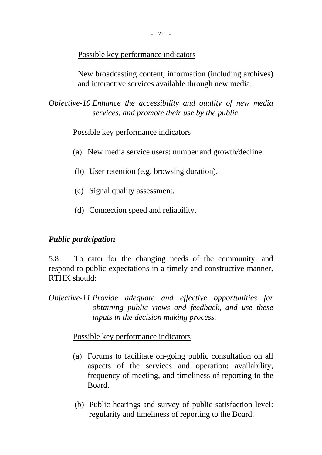#### Possible key performance indicators

New broadcasting content, information (including archives) and interactive services available through new media.

*Objective-10 Enhance the accessibility and quality of new media services, and promote their use by the public.* 

#### Possible key performance indicators

- (a) New media service users: number and growth/decline.
- (b) User retention (e.g. browsing duration).
- (c) Signal quality assessment.
- (d) Connection speed and reliability.

#### *Public participation*

5.8 To cater for the changing needs of the community, and respond to public expectations in a timely and constructive manner, RTHK should:

*Objective-11 Provide adequate and effective opportunities for obtaining public views and feedback, and use these inputs in the decision making process.* 

#### Possible key performance indicators

- (a) Forums to facilitate on-going public consultation on all aspects of the services and operation: availability, frequency of meeting, and timeliness of reporting to the Board.
- (b) Public hearings and survey of public satisfaction level: regularity and timeliness of reporting to the Board.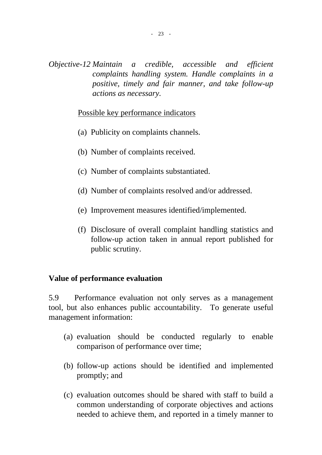*Objective-12 Maintain a credible, accessible and efficient complaints handling system. Handle complaints in a positive, timely and fair manner, and take follow-up actions as necessary.* 

#### Possible key performance indicators

- (a) Publicity on complaints channels.
- (b) Number of complaints received.
- (c) Number of complaints substantiated.
- (d) Number of complaints resolved and/or addressed.
- (e) Improvement measures identified/implemented.
- (f) Disclosure of overall complaint handling statistics and follow-up action taken in annual report published for public scrutiny.

#### **Value of performance evaluation**

5.9 Performance evaluation not only serves as a management tool, but also enhances public accountability. To generate useful management information:

- (a) evaluation should be conducted regularly to enable comparison of performance over time;
- (b) follow-up actions should be identified and implemented promptly; and
- (c) evaluation outcomes should be shared with staff to build a common understanding of corporate objectives and actions needed to achieve them, and reported in a timely manner to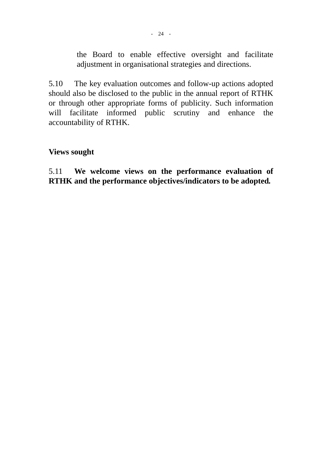the Board to enable effective oversight and facilitate adjustment in organisational strategies and directions.

5.10 The key evaluation outcomes and follow-up actions adopted should also be disclosed to the public in the annual report of RTHK or through other appropriate forms of publicity. Such information will facilitate informed public scrutiny and enhance the accountability of RTHK.

#### **Views sought**

5.11 **We welcome views on the performance evaluation of RTHK and the performance objectives/indicators to be adopted***.*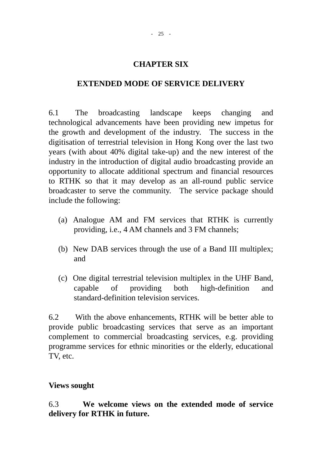#### **CHAPTER SIX**

#### **EXTENDED MODE OF SERVICE DELIVERY**

6.1 The broadcasting landscape keeps changing and technological advancements have been providing new impetus for the growth and development of the industry. The success in the digitisation of terrestrial television in Hong Kong over the last two years (with about 40% digital take-up) and the new interest of the industry in the introduction of digital audio broadcasting provide an opportunity to allocate additional spectrum and financial resources to RTHK so that it may develop as an all-round public service broadcaster to serve the community. The service package should include the following:

- (a) Analogue AM and FM services that RTHK is currently providing, i.e., 4 AM channels and 3 FM channels;
- (b) New DAB services through the use of a Band III multiplex; and
- (c) One digital terrestrial television multiplex in the UHF Band, capable of providing both high-definition and standard-definition television services.

6.2 With the above enhancements, RTHK will be better able to provide public broadcasting services that serve as an important complement to commercial broadcasting services, e.g. providing programme services for ethnic minorities or the elderly, educational TV, etc.

#### **Views sought**

6.3 **We welcome views on the extended mode of service delivery for RTHK in future.**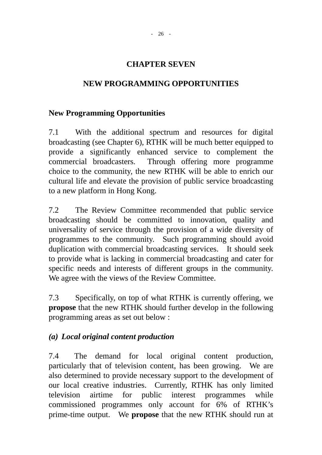#### **CHAPTER SEVEN**

#### **NEW PROGRAMMING OPPORTUNITIES**

#### **New Programming Opportunities**

7.1 With the additional spectrum and resources for digital broadcasting (see Chapter 6), RTHK will be much better equipped to provide a significantly enhanced service to complement the commercial broadcasters. Through offering more programme choice to the community, the new RTHK will be able to enrich our cultural life and elevate the provision of public service broadcasting to a new platform in Hong Kong.

7.2 The Review Committee recommended that public service broadcasting should be committed to innovation, quality and universality of service through the provision of a wide diversity of programmes to the community. Such programming should avoid duplication with commercial broadcasting services. It should seek to provide what is lacking in commercial broadcasting and cater for specific needs and interests of different groups in the community. We agree with the views of the Review Committee.

7.3 Specifically, on top of what RTHK is currently offering, we **propose** that the new RTHK should further develop in the following programming areas as set out below :

#### *(a) Local original content production*

7.4 The demand for local original content production, particularly that of television content, has been growing. We are also determined to provide necessary support to the development of our local creative industries. Currently, RTHK has only limited television airtime for public interest programmes while commissioned programmes only account for 6% of RTHK's prime-time output. We **propose** that the new RTHK should run at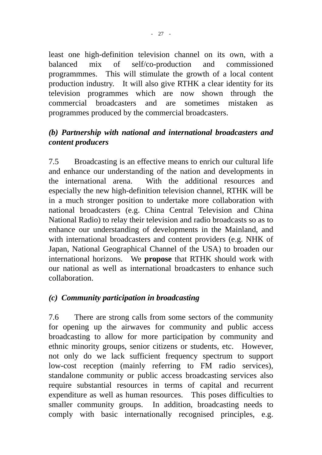least one high-definition television channel on its own, with a balanced mix of self/co-production and commissioned programmmes. This will stimulate the growth of a local content production industry. It will also give RTHK a clear identity for its television programmes which are now shown through the commercial broadcasters and are sometimes mistaken as programmes produced by the commercial broadcasters.

# *(b) Partnership with national and international broadcasters and content producers*

7.5 Broadcasting is an effective means to enrich our cultural life and enhance our understanding of the nation and developments in the international arena. With the additional resources and especially the new high-definition television channel, RTHK will be in a much stronger position to undertake more collaboration with national broadcasters (e.g. China Central Television and China National Radio) to relay their television and radio broadcasts so as to enhance our understanding of developments in the Mainland, and with international broadcasters and content providers (e.g. NHK of Japan, National Geographical Channel of the USA) to broaden our international horizons. We **propose** that RTHK should work with our national as well as international broadcasters to enhance such collaboration.

# *(c) Community participation in broadcasting*

7.6 There are strong calls from some sectors of the community for opening up the airwaves for community and public access broadcasting to allow for more participation by community and ethnic minority groups, senior citizens or students, etc. However, not only do we lack sufficient frequency spectrum to support low-cost reception (mainly referring to FM radio services), standalone community or public access broadcasting services also require substantial resources in terms of capital and recurrent expenditure as well as human resources. This poses difficulties to smaller community groups. In addition, broadcasting needs to comply with basic internationally recognised principles, e.g.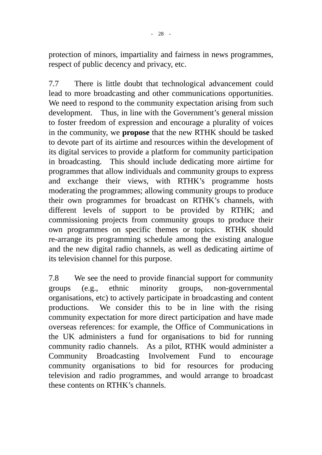protection of minors, impartiality and fairness in news programmes, respect of public decency and privacy, etc.

7.7 There is little doubt that technological advancement could lead to more broadcasting and other communications opportunities. We need to respond to the community expectation arising from such development. Thus, in line with the Government's general mission to foster freedom of expression and encourage a plurality of voices in the community, we **propose** that the new RTHK should be tasked to devote part of its airtime and resources within the development of its digital services to provide a platform for community participation in broadcasting. This should include dedicating more airtime for programmes that allow individuals and community groups to express and exchange their views, with RTHK's programme hosts moderating the programmes; allowing community groups to produce their own programmes for broadcast on RTHK's channels, with different levels of support to be provided by RTHK; and commissioning projects from community groups to produce their own programmes on specific themes or topics. RTHK should re-arrange its programming schedule among the existing analogue and the new digital radio channels, as well as dedicating airtime of its television channel for this purpose.

7.8 We see the need to provide financial support for community groups (e.g., ethnic minority groups, non-governmental organisations, etc) to actively participate in broadcasting and content productions. We consider this to be in line with the rising community expectation for more direct participation and have made overseas references: for example, the Office of Communications in the UK administers a fund for organisations to bid for running community radio channels. As a pilot, RTHK would administer a Community Broadcasting Involvement Fund to encourage community organisations to bid for resources for producing television and radio programmes, and would arrange to broadcast these contents on RTHK's channels.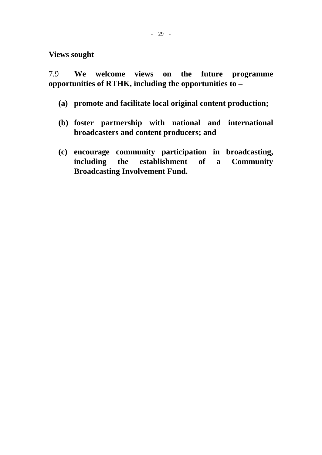**Views sought** 

7.9 **We welcome views on the future programme opportunities of RTHK, including the opportunities to –** 

- **(a) promote and facilitate local original content production;**
- **(b) foster partnership with national and international broadcasters and content producers; and**
- **(c) encourage community participation in broadcasting, including the establishment of a Community Broadcasting Involvement Fund.**